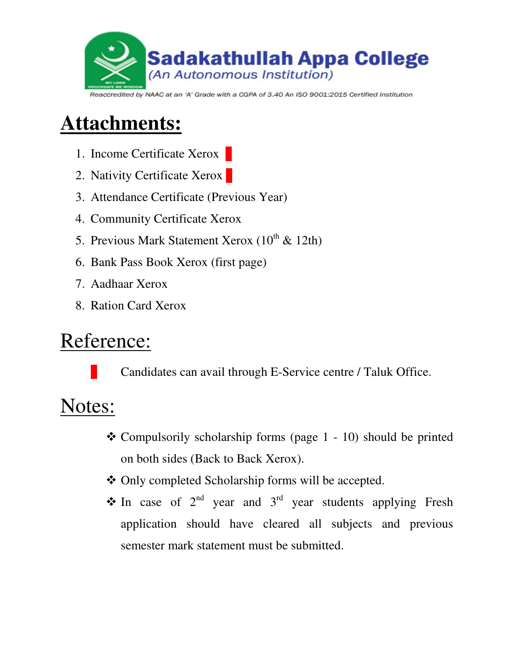

#### Reaccredited by NAAC at an 'A' Grade with a CGPA of 3.40 An ISO 9001:2015 Certified Institution

## **Attachments:**

- 1. Income Certificate Xerox
- 2. Nativity Certificate Xerox
- 3. Attendance Certificate (Previous Year)
- 4. Community Certificate Xerox
- 5. Previous Mark Statement Xerox  $(10^{th} \& 12th)$
- 6. Bank Pass Book Xerox (first page)
- 7. Aadhaar Xerox
- 8. Ration Card Xerox

### Reference:

Candidates can avail through E-Service centre / Taluk Office.

# Notes:

- $\triangle$  Compulsorily scholarship forms (page 1 10) should be printed on both sides (Back to Back Xerox).
- Only completed Scholarship forms will be accepted.
- $\cdot$  In case of  $2^{nd}$  year and  $3^{rd}$  year students applying Fresh application should have cleared all subjects and previous semester mark statement must be submitted.